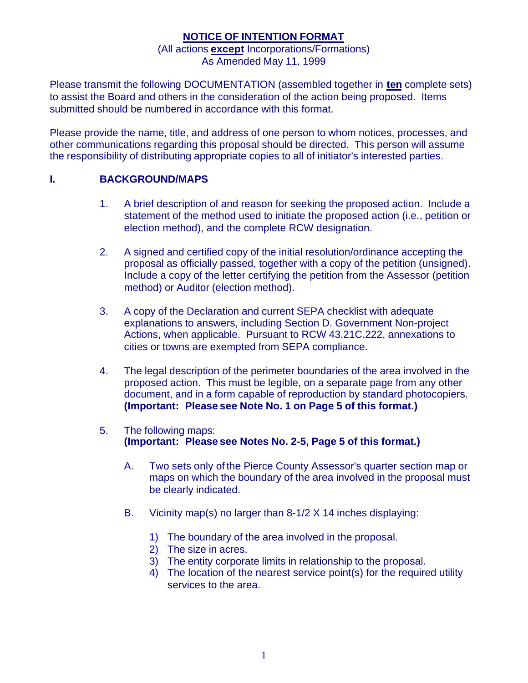### **NOTICE OF INTENTION FORMAT**

#### (All actions **except** Incorporations/Formations) As Amended May 11, 1999

Please transmit the following DOCUMENTATION (assembled together in **ten** complete sets) to assist the Board and others in the consideration of the action being proposed. Items submitted should be numbered in accordance with this format.

Please provide the name, title, and address of one person to whom notices, processes, and other communications regarding this proposal should be directed. This person will assume the responsibility of distributing appropriate copies to all of initiator's interested parties.

## **I. BACKGROUND/MAPS**

- 1. A brief description of and reason for seeking the proposed action. Include a statement of the method used to initiate the proposed action (i.e., petition or election method), and the complete RCW designation.
- 2. A signed and certified copy of the initial resolution/ordinance accepting the proposal as officially passed, together with a copy of the petition (unsigned). Include a copy of the letter certifying the petition from the Assessor (petition method) or Auditor (election method).
- 3. A copy of the Declaration and current SEPA checklist with adequate explanations to answers, including Section D. Government Non-project Actions, when applicable. Pursuant to RCW 43.21C.222, annexations to cities or towns are exempted from SEPA compliance.
- 4. The legal description of the perimeter boundaries of the area involved in the proposed action. This must be legible, on a separate page from any other document, and in a form capable of reproduction by standard photocopiers. **(Important: Please see Note No. 1 on Page 5 of this format.)**
- 5. The following maps: **(Important: Please see Notes No. 2-5, Page 5 of this format.)**
	- A. Two sets only of the Pierce County Assessor's quarter section map or maps on which the boundary of the area involved in the proposal must be clearly indicated.
	- B. Vicinity map(s) no larger than 8-1/2 X 14 inches displaying:
		- 1) The boundary of the area involved in the proposal.
		- 2) The size in acres.
		- 3) The entity corporate limits in relationship to the proposal.
		- 4) The location of the nearest service point(s) for the required utility services to the area.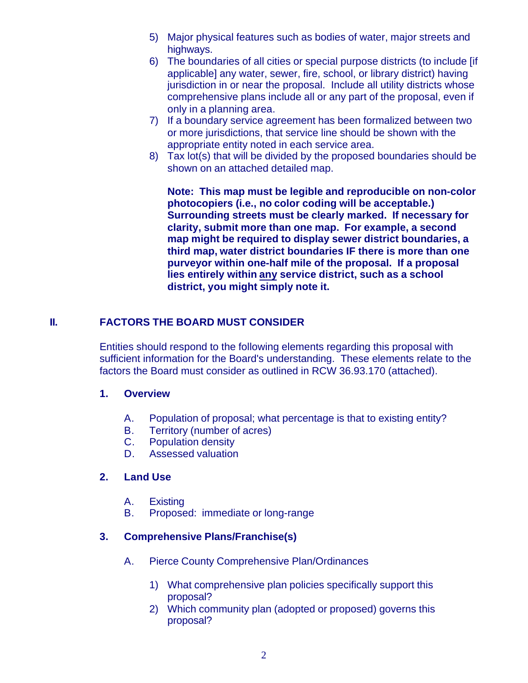- 5) Major physical features such as bodies of water, major streets and highways.
- 6) The boundaries of all cities or special purpose districts (to include [if applicable] any water, sewer, fire, school, or library district) having jurisdiction in or near the proposal. Include all utility districts whose comprehensive plans include all or any part of the proposal, even if only in a planning area.
- 7) If a boundary service agreement has been formalized between two or more jurisdictions, that service line should be shown with the appropriate entity noted in each service area.
- 8) Tax lot(s) that will be divided by the proposed boundaries should be shown on an attached detailed map.

**Note: This map must be legible and reproducible on non-color photocopiers (i.e., no color coding will be acceptable.) Surrounding streets must be clearly marked. If necessary for clarity, submit more than one map. For example, a second map might be required to display sewer district boundaries, a third map, water district boundaries IF there is more than one purveyor within one-half mile of the proposal. If a proposal lies entirely within any service district, such as a school district, you might simply note it.**

# **II. FACTORS THE BOARD MUST CONSIDER**

Entities should respond to the following elements regarding this proposal with sufficient information for the Board's understanding. These elements relate to the factors the Board must consider as outlined in RCW 36.93.170 (attached).

#### **1. Overview**

- A. Population of proposal; what percentage is that to existing entity?
- B. Territory (number of acres)<br>C. Population density
- **Population density**
- D. Assessed valuation

## **2. Land Use**

- A. Existing
- B. Proposed: immediate or long-range

## **3. Comprehensive Plans/Franchise(s)**

- A. Pierce County Comprehensive Plan/Ordinances
	- 1) What comprehensive plan policies specifically support this proposal?
	- 2) Which community plan (adopted or proposed) governs this proposal?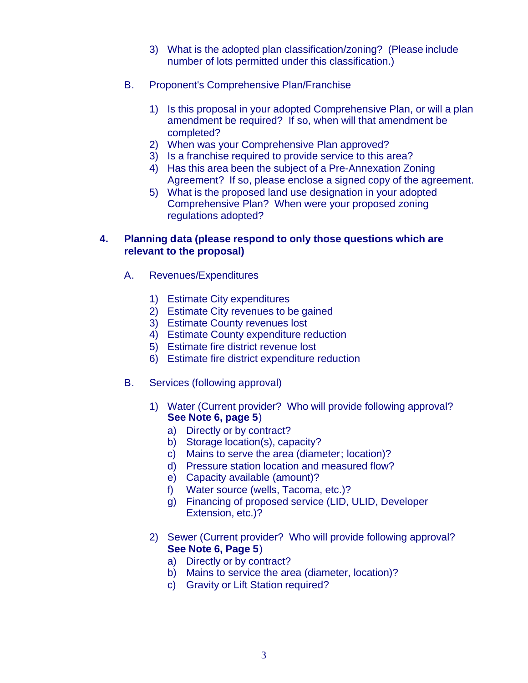- 3) What is the adopted plan classification/zoning? (Please include number of lots permitted under this classification.)
- B. Proponent's Comprehensive Plan/Franchise
	- 1) Is this proposal in your adopted Comprehensive Plan, or will a plan amendment be required? If so, when will that amendment be completed?
	- 2) When was your Comprehensive Plan approved?
	- 3) Is a franchise required to provide service to this area?
	- 4) Has this area been the subject of a Pre-Annexation Zoning Agreement? If so, please enclose a signed copy of the agreement.
	- 5) What is the proposed land use designation in your adopted Comprehensive Plan? When were your proposed zoning regulations adopted?

#### **4. Planning data (please respond to only those questions which are relevant to the proposal)**

- A. Revenues/Expenditures
	- 1) Estimate City expenditures
	- 2) Estimate City revenues to be gained
	- 3) Estimate County revenues lost
	- 4) Estimate County expenditure reduction
	- 5) Estimate fire district revenue lost
	- 6) Estimate fire district expenditure reduction
- B. Services (following approval)
	- 1) Water (Current provider? Who will provide following approval? **See Note 6, page 5**)
		- a) Directly or by contract?
		- b) Storage location(s), capacity?
		- c) Mains to serve the area (diameter; location)?
		- d) Pressure station location and measured flow?
		- e) Capacity available (amount)?
		- f) Water source (wells, Tacoma, etc.)?
		- g) Financing of proposed service (LID, ULID, Developer Extension, etc.)?
	- 2) Sewer (Current provider? Who will provide following approval? **See Note 6, Page 5**)
		- a) Directly or by contract?
		- b) Mains to service the area (diameter, location)?
		- c) Gravity or Lift Station required?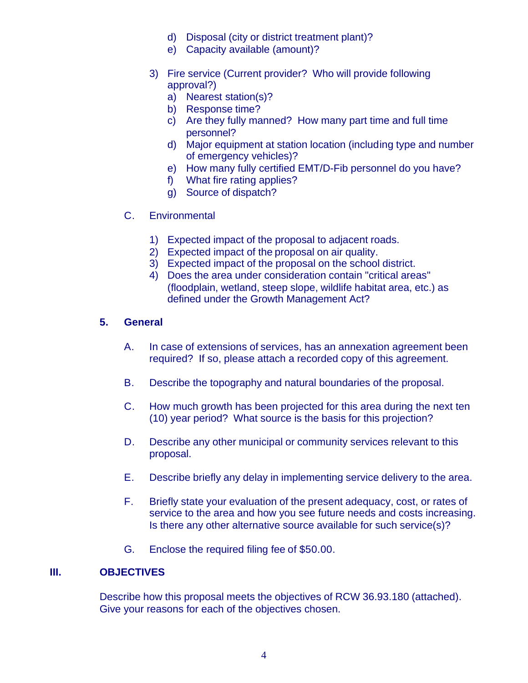- d) Disposal (city or district treatment plant)?
- e) Capacity available (amount)?
- 3) Fire service (Current provider? Who will provide following approval?)
	- a) Nearest station(s)?
	- b) Response time?
	- c) Are they fully manned? How many part time and full time personnel?
	- d) Major equipment at station location (including type and number of emergency vehicles)?
	- e) How many fully certified EMT/D-Fib personnel do you have?
	- f) What fire rating applies?
	- g) Source of dispatch?
- C. Environmental
	- 1) Expected impact of the proposal to adjacent roads.
	- 2) Expected impact of the proposal on air quality.
	- 3) Expected impact of the proposal on the school district.
	- 4) Does the area under consideration contain "critical areas" (floodplain, wetland, steep slope, wildlife habitat area, etc.) as defined under the Growth Management Act?

### **5. General**

- A. In case of extensions of services, has an annexation agreement been required? If so, please attach a recorded copy of this agreement.
- B. Describe the topography and natural boundaries of the proposal.
- C. How much growth has been projected for this area during the next ten (10) year period? What source is the basis for this projection?
- D. Describe any other municipal or community services relevant to this proposal.
- E. Describe briefly any delay in implementing service delivery to the area.
- F. Briefly state your evaluation of the present adequacy, cost, or rates of service to the area and how you see future needs and costs increasing. Is there any other alternative source available for such service(s)?
- G. Enclose the required filing fee of \$50.00.

## **III. OBJECTIVES**

Describe how this proposal meets the objectives of RCW 36.93.180 (attached). Give your reasons for each of the objectives chosen.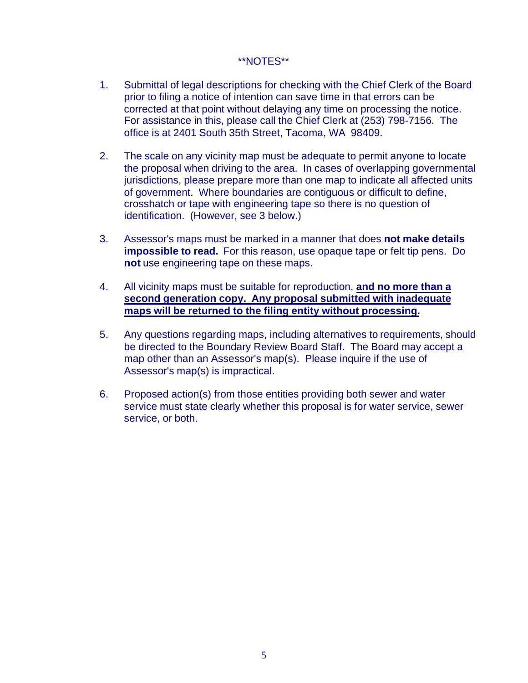### \*\*NOTES\*\*

- 1. Submittal of legal descriptions for checking with the Chief Clerk of the Board prior to filing a notice of intention can save time in that errors can be corrected at that point without delaying any time on processing the notice. For assistance in this, please call the Chief Clerk at (253) 798-7156. The office is at 2401 South 35th Street, Tacoma, WA 98409.
- 2. The scale on any vicinity map must be adequate to permit anyone to locate the proposal when driving to the area. In cases of overlapping governmental jurisdictions, please prepare more than one map to indicate all affected units of government. Where boundaries are contiguous or difficult to define, crosshatch or tape with engineering tape so there is no question of identification. (However, see 3 below.)
- 3. Assessor's maps must be marked in a manner that does **not make details impossible to read.** For this reason, use opaque tape or felt tip pens. Do **not** use engineering tape on these maps.
- 4. All vicinity maps must be suitable for reproduction, **and no more than a second generation copy. Any proposal submitted with inadequate maps will be returned to the filing entity without processing.**
- 5. Any questions regarding maps, including alternatives to requirements, should be directed to the Boundary Review Board Staff. The Board may accept a map other than an Assessor's map(s). Please inquire if the use of Assessor's map(s) is impractical.
- 6. Proposed action(s) from those entities providing both sewer and water service must state clearly whether this proposal is for water service, sewer service, or both.